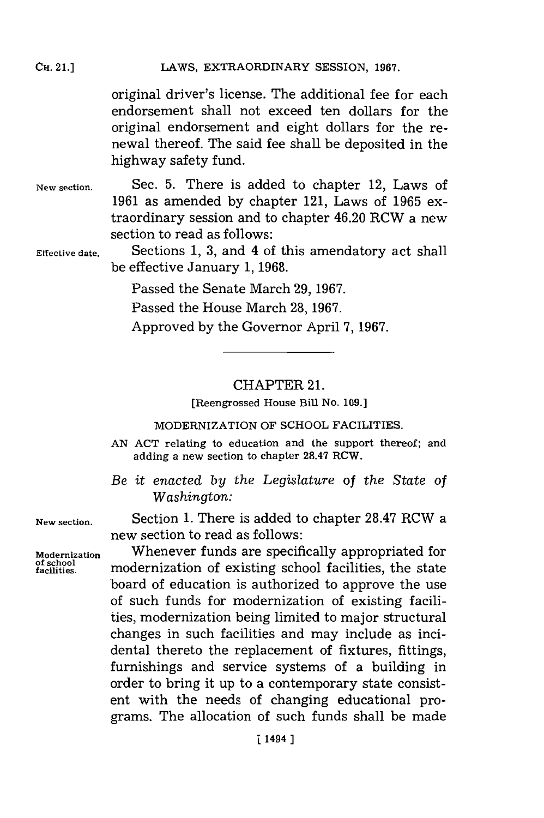**CH.** 21.]

original driver's license. The additional fee for each endorsement shall not exceed ten dollars for the original endorsement and eight dollars for the renewal thereof. The said fee shall be deposited in the highway safety fund.

**New section.** Sec. **5.** There is added to chapter 12, Laws of **1961** as amended **by** chapter 121, Laws of **1965** extraordinary session and to chapter 46.20 RCW a new section to read as follows:

**Effective date.** Sections **1, 3,** and 4 of this amendatory act shall be effective January **1, 1968.**

Passed the Senate March **29, 1967.**

Passed the House March **28, 1967.**

Approved **by** the Governor April **7, 1967.**

### CHAPTER 21.

[Reengrossed House Bill No. **109.]**

#### MODERNIZATION OF **SCHOOL** FACILITIES.

- **AN ACT** relating to education and the support thereof; and adding a new section to chapter **28.47** RCW.
- *Be it enacted by the Legislature of the State of Washington:*

**New section.** Section **1.** There is added to chapter **28.47** RCW a new section to read as follows:

Modernization **Michael Whenever funds are specifically appropriated for**<br>of school **modernization of existing school facilities**, the state modernization of existing school facilities, the state board of education is authorized to approve the use of such funds for modernization of existing facilities, modernization being limited to major structural changes in such facilities and may include as incidental thereto the replacement of fixtures, fittings, furnishings and service systems of a building in order to bring it up to a contemporary state consistent with the needs of changing educational programs. The allocation of such funds shall be made